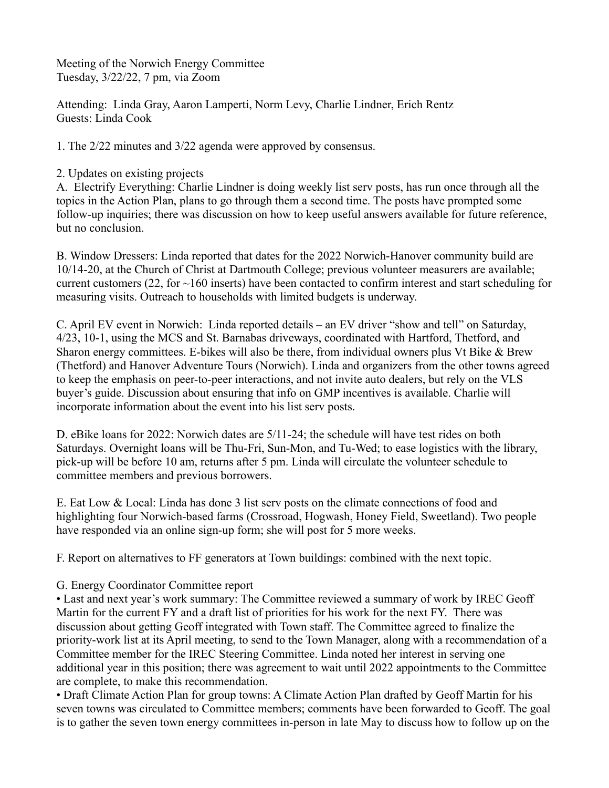Meeting of the Norwich Energy Committee Tuesday, 3/22/22, 7 pm, via Zoom

Attending: Linda Gray, Aaron Lamperti, Norm Levy, Charlie Lindner, Erich Rentz Guests: Linda Cook

1. The 2/22 minutes and 3/22 agenda were approved by consensus.

## 2. Updates on existing projects

A. Electrify Everything: Charlie Lindner is doing weekly list serv posts, has run once through all the topics in the Action Plan, plans to go through them a second time. The posts have prompted some follow-up inquiries; there was discussion on how to keep useful answers available for future reference, but no conclusion.

B. Window Dressers: Linda reported that dates for the 2022 Norwich-Hanover community build are 10/14-20, at the Church of Christ at Dartmouth College; previous volunteer measurers are available; current customers (22, for  $\sim$ 160 inserts) have been contacted to confirm interest and start scheduling for measuring visits. Outreach to households with limited budgets is underway.

C. April EV event in Norwich: Linda reported details – an EV driver "show and tell" on Saturday, 4/23, 10-1, using the MCS and St. Barnabas driveways, coordinated with Hartford, Thetford, and Sharon energy committees. E-bikes will also be there, from individual owners plus Vt Bike & Brew (Thetford) and Hanover Adventure Tours (Norwich). Linda and organizers from the other towns agreed to keep the emphasis on peer-to-peer interactions, and not invite auto dealers, but rely on the VLS buyer's guide. Discussion about ensuring that info on GMP incentives is available. Charlie will incorporate information about the event into his list serv posts.

D. eBike loans for 2022: Norwich dates are 5/11-24; the schedule will have test rides on both Saturdays. Overnight loans will be Thu-Fri, Sun-Mon, and Tu-Wed; to ease logistics with the library, pick-up will be before 10 am, returns after 5 pm. Linda will circulate the volunteer schedule to committee members and previous borrowers.

E. Eat Low & Local: Linda has done 3 list serv posts on the climate connections of food and highlighting four Norwich-based farms (Crossroad, Hogwash, Honey Field, Sweetland). Two people have responded via an online sign-up form; she will post for 5 more weeks.

F. Report on alternatives to FF generators at Town buildings: combined with the next topic.

## G. Energy Coordinator Committee report

• Last and next year's work summary: The Committee reviewed a summary of work by IREC Geoff Martin for the current FY and a draft list of priorities for his work for the next FY. There was discussion about getting Geoff integrated with Town staff. The Committee agreed to finalize the priority-work list at its April meeting, to send to the Town Manager, along with a recommendation of a Committee member for the IREC Steering Committee. Linda noted her interest in serving one additional year in this position; there was agreement to wait until 2022 appointments to the Committee are complete, to make this recommendation.

• Draft Climate Action Plan for group towns: A Climate Action Plan drafted by Geoff Martin for his seven towns was circulated to Committee members; comments have been forwarded to Geoff. The goal is to gather the seven town energy committees in-person in late May to discuss how to follow up on the